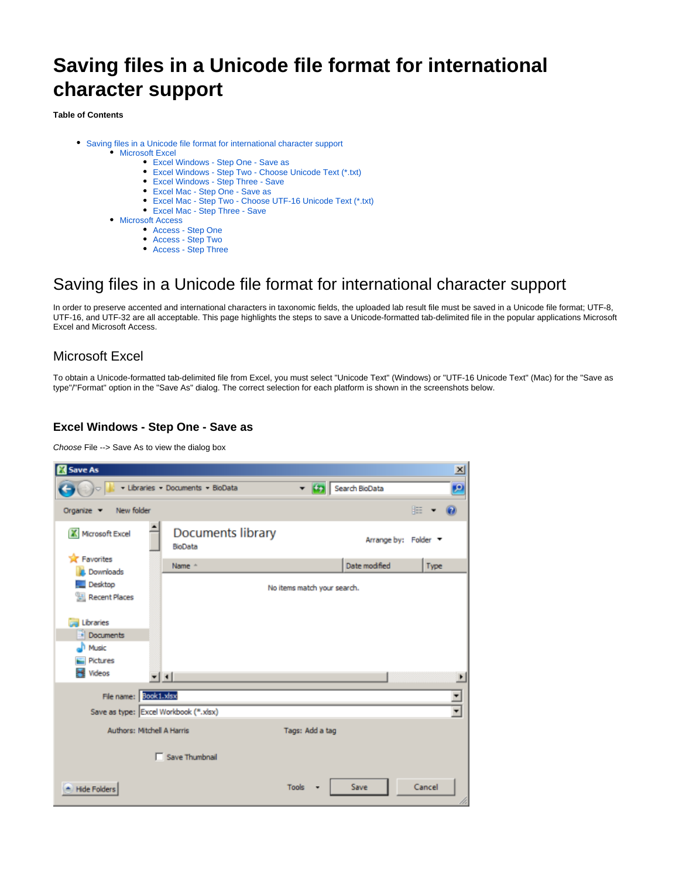# **Saving files in a Unicode file format for international character support**

**Table of Contents**

- [Saving files in a Unicode file format for international character support](#page-0-0)
	- **[Microsoft Excel](#page-0-1)** 
		- [Excel Windows Step One Save as](#page-0-2) [Excel Windows - Step Two - Choose Unicode Text \(\\*.txt\)](#page-0-3)
		- [Excel Windows Step Three Save](#page-1-0)
		- [Excel Mac Step One Save as](#page-1-1)
		- [Excel Mac Step Two Choose UTF-16 Unicode Text \(\\*.txt\)](#page-1-2)
		- [Excel Mac Step Three Save](#page-2-0)
	- [Microsoft Access](#page-2-1)
		- [Access Step One](#page-2-2)
			- [Access Step Two](#page-3-0)
			- [Access Step Three](#page-3-1)

# <span id="page-0-0"></span>Saving files in a Unicode file format for international character support

In order to preserve accented and international characters in taxonomic fields, the uploaded lab result file must be saved in a Unicode file format; UTF-8, UTF-16, and UTF-32 are all acceptable. This page highlights the steps to save a Unicode-formatted tab-delimited file in the popular applications Microsoft Excel and Microsoft Access.

# <span id="page-0-1"></span>Microsoft Excel

To obtain a Unicode-formatted tab-delimited file from Excel, you must select "Unicode Text" (Windows) or "UTF-16 Unicode Text" (Mac) for the "Save as type"/"Format" option in the "Save As" dialog. The correct selection for each platform is shown in the screenshots below.

#### <span id="page-0-2"></span>**Excel Windows - Step One - Save as**

Choose File --> Save As to view the dialog box

<span id="page-0-3"></span>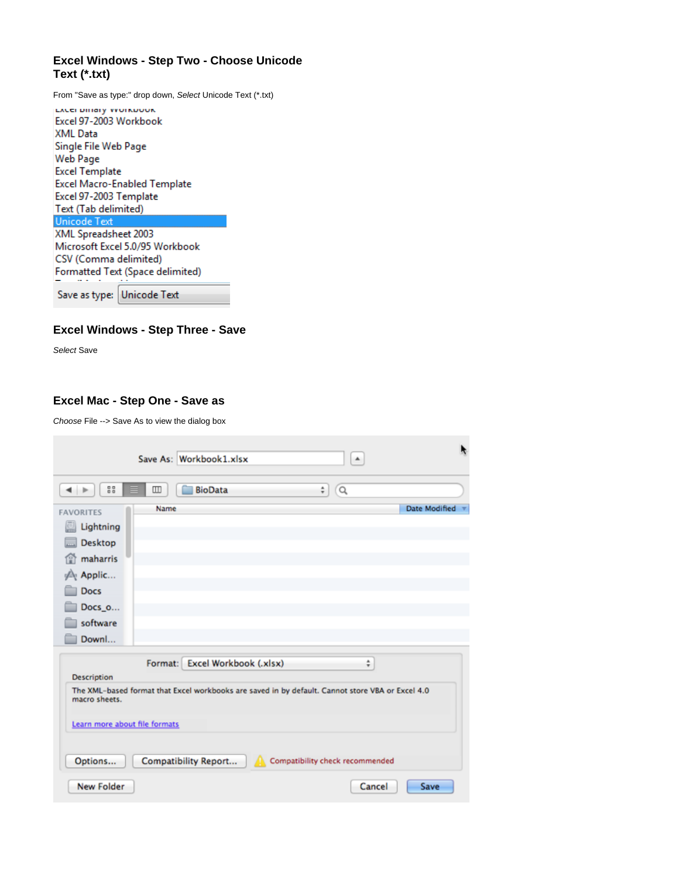# **Excel Windows - Step Two - Choose Unicode Text (\*.txt)**

From "Save as type:" drop down, Select Unicode Text (\*.txt)

| Save as type: Unicode Text          |
|-------------------------------------|
| Formatted Text (Space delimited)    |
| CSV (Comma delimited)               |
| Microsoft Excel 5.0/95 Workbook     |
| XML Spreadsheet 2003                |
| Unicode Text                        |
| Text (Tab delimited)                |
| Excel 97-2003 Template              |
| <b>Excel Macro-Enabled Template</b> |
| <b>Excel Template</b>               |
| Web Page                            |
| Single File Web Page                |
| XML Data                            |
| Excel 97-2003 Workbook              |
| <b>LACEL DIHAITY VYUINDUUN</b>      |

# <span id="page-1-0"></span>**Excel Windows - Step Three - Save**

Select Save

# <span id="page-1-1"></span>**Excel Mac - Step One - Save as**

Choose File --> Save As to view the dialog box

<span id="page-1-2"></span>

|                                                                                                                         |      | Save As: Workbook1.xlsx        | ۸                                                                                                                                   | k                    |
|-------------------------------------------------------------------------------------------------------------------------|------|--------------------------------|-------------------------------------------------------------------------------------------------------------------------------------|----------------------|
| 88<br>$\rightarrow$                                                                                                     | ▥    | <b>BioData</b>                 | ÷<br>$\alpha$                                                                                                                       |                      |
| <b>FAVORITES</b><br>Lightning<br>Desktop<br>maharris<br>ោ<br>्∕्री Applic<br><b>Docs</b><br>Docs_o<br>software<br>Downl | Name |                                |                                                                                                                                     | <b>Date Modified</b> |
| <b>Description</b>                                                                                                      |      | Format: Excel Workbook (.xlsx) | ÷                                                                                                                                   |                      |
| macro sheets.<br>Learn more about file formats<br>Options                                                               |      | Compatibility Report           | The XML-based format that Excel workbooks are saved in by default. Cannot store VBA or Excel 4.0<br>Compatibility check recommended |                      |
| <b>New Folder</b>                                                                                                       |      |                                | Cancel                                                                                                                              | Save                 |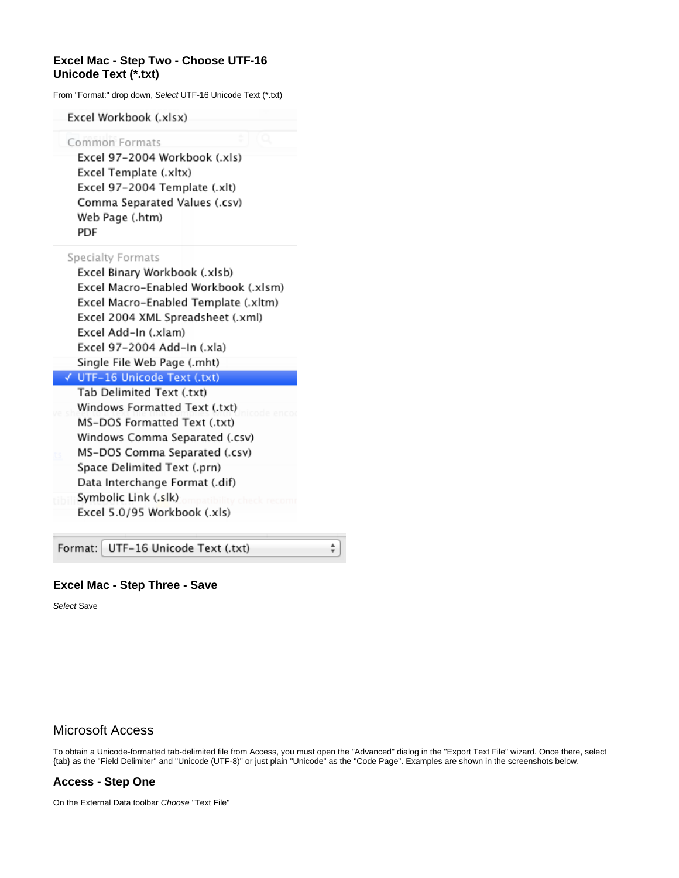#### **Excel Mac - Step Two - Choose UTF-16 Unicode Text (\*.txt)**

From "Format:" drop down, Select UTF-16 Unicode Text (\*.txt)

Excel Workbook (.xlsx)

Common Formats

Excel 97-2004 Workbook (.xls) Excel Template (.xltx) Excel 97-2004 Template (.xlt) Comma Separated Values (.csv) Web Page (.htm) **PDF** 

Specialty Formats

Excel Binary Workbook (.xlsb) Excel Macro-Enabled Workbook (.xlsm) Excel Macro-Enabled Template (.xltm) Excel 2004 XML Spreadsheet (.xml) Excel Add-In (.xlam) Excel 97-2004 Add-In (.xla) Single File Web Page (.mht)

- √ UTF-16 Unicode Text (.txt) Tab Delimited Text (.txt) Windows Formatted Text (.txt) MS-DOS Formatted Text (.txt) Windows Comma Separated (.csv) MS-DOS Comma Separated (.csv) Space Delimited Text (.prn)
- Data Interchange Format (.dif)
- Symbolic Link (.slk) Excel 5.0/95 Workbook (.xls)

Format: UTF-16 Unicode Text (.txt)

#### <span id="page-2-0"></span>**Excel Mac - Step Three - Save**

Select Save

#### <span id="page-2-1"></span>Microsoft Access

To obtain a Unicode-formatted tab-delimited file from Access, you must open the "Advanced" dialog in the "Export Text File" wizard. Once there, select {tab} as the "Field Delimiter" and "Unicode (UTF-8)" or just plain "Unicode" as the "Code Page". Examples are shown in the screenshots below.

÷

#### <span id="page-2-2"></span>**Access - Step One**

On the External Data toolbar Choose "Text File"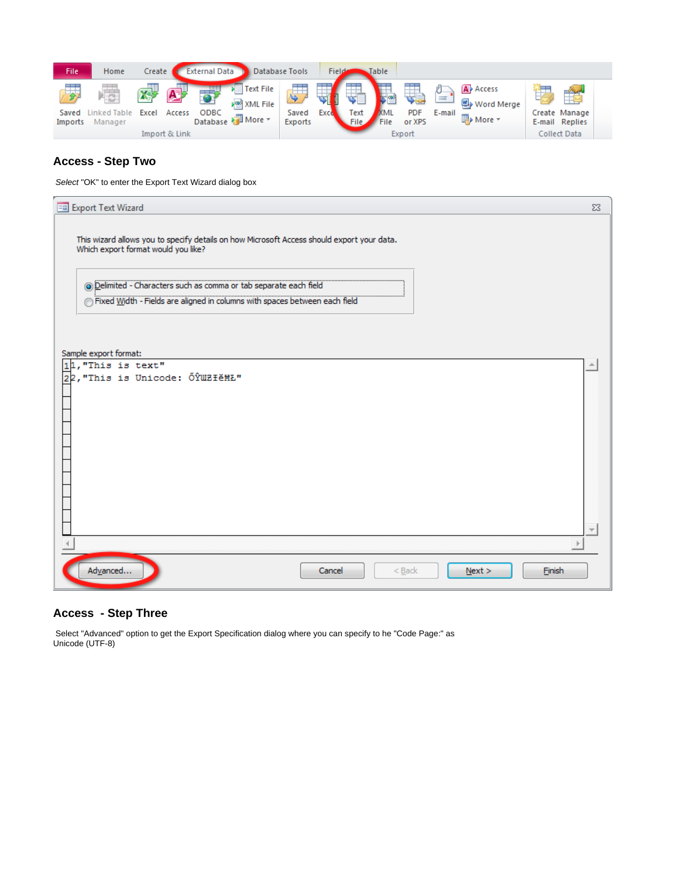| File             | Home                 | Create |                                | <b>External Data</b> |                                                     | Database Tools   | Field |                   | Table              |                                       |             |                                                           |                                                 |
|------------------|----------------------|--------|--------------------------------|----------------------|-----------------------------------------------------|------------------|-------|-------------------|--------------------|---------------------------------------|-------------|-----------------------------------------------------------|-------------------------------------------------|
| Saved<br>Imports | ked Table<br>Manager | Excel  | A-F<br>Access<br>Import & Link | ODBC                 | <b>Text File</b><br>⊁≌ୀ XML File<br>Database More - | Saved<br>Exports | Exce  | Text<br>$\_$ File | <b>MML</b><br>File | \$8<br><b>PDF</b><br>or XPS<br>Export | 늴<br>E-mail | A <sup>p</sup> Access<br>Word Merge<br><b>ED</b> > More ▼ | Create Manage<br>E-mail Replies<br>Collect Data |

# <span id="page-3-0"></span>**Access - Step Two**

Select "OK" to enter the Export Text Wizard dialog box

| <b>EB</b> Export Text Wizard                                                                                                                    | $\Sigma$ |
|-------------------------------------------------------------------------------------------------------------------------------------------------|----------|
| This wizard allows you to specify details on how Microsoft Access should export your data.<br>Which export format would you like?               |          |
| @ Delimited - Characters such as comma or tab separate each field<br>Fixed Width - Fields are aligned in columns with spaces between each field |          |
| Sample export format:                                                                                                                           |          |
| $11,$ "This is text"<br>22, "This is Unicode: ŐŶWZłĕĦŁ"                                                                                         |          |
|                                                                                                                                                 |          |
|                                                                                                                                                 | ÷.       |
| Advanced<br><b>Finish</b><br>Cancel<br>$<$ Back<br>Next                                                                                         |          |

# <span id="page-3-1"></span>**Access - Step Three**

 Select "Advanced" option to get the Export Specification dialog where you can specify to he "Code Page:" as Unicode (UTF-8)